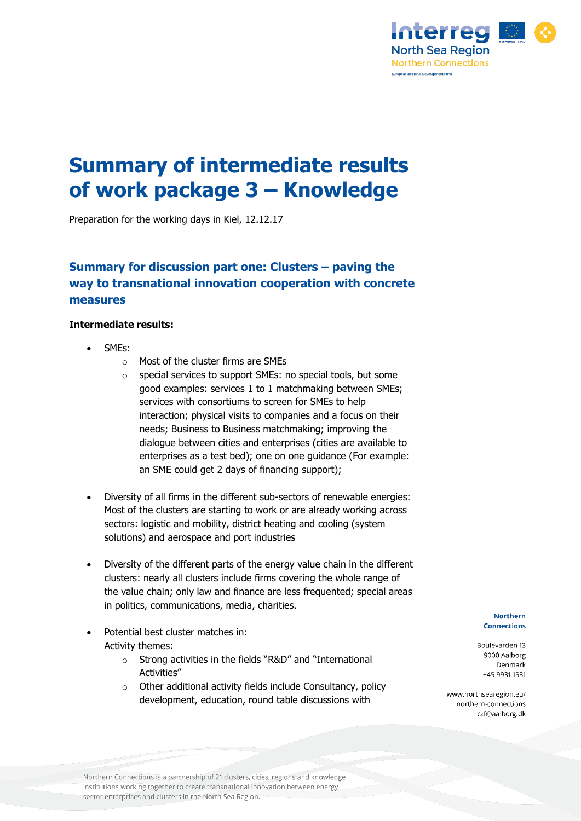

# **Summary of intermediate results of work package 3 – Knowledge**

Preparation for the working days in Kiel, 12.12.17

# **Summary for discussion part one: Clusters – paving the way to transnational innovation cooperation with concrete measures**

#### **Intermediate results:**

- SMEs:
	- o Most of the cluster firms are SMEs
	- o special services to support SMEs: no special tools, but some good examples: services 1 to 1 matchmaking between SMEs; services with consortiums to screen for SMEs to help interaction; physical visits to companies and a focus on their needs; Business to Business matchmaking; improving the dialogue between cities and enterprises (cities are available to enterprises as a test bed); one on one guidance (For example: an SME could get 2 days of financing support);
- Diversity of all firms in the different sub-sectors of renewable energies: Most of the clusters are starting to work or are already working across sectors: logistic and mobility, district heating and cooling (system solutions) and aerospace and port industries
- Diversity of the different parts of the energy value chain in the different clusters: nearly all clusters include firms covering the whole range of the value chain; only law and finance are less frequented; special areas in politics, communications, media, charities.
- Potential best cluster matches in: Activity themes:
	- o Strong activities in the fields "R&D" and "International Activities"
	- o Other additional activity fields include Consultancy, policy development, education, round table discussions with

**Northern Connections** 

Boulevarden 13 9000 Aalborg Denmark +45 9931 1531

www.northsearegion.eu/ northern-connections czf@aalborg.dk

Northern Connections is a partnership of 21 clusters, cities, regions and knowledge institutions working together to create transnational innovation between energy sector enterprises and clusters in the North Sea Region.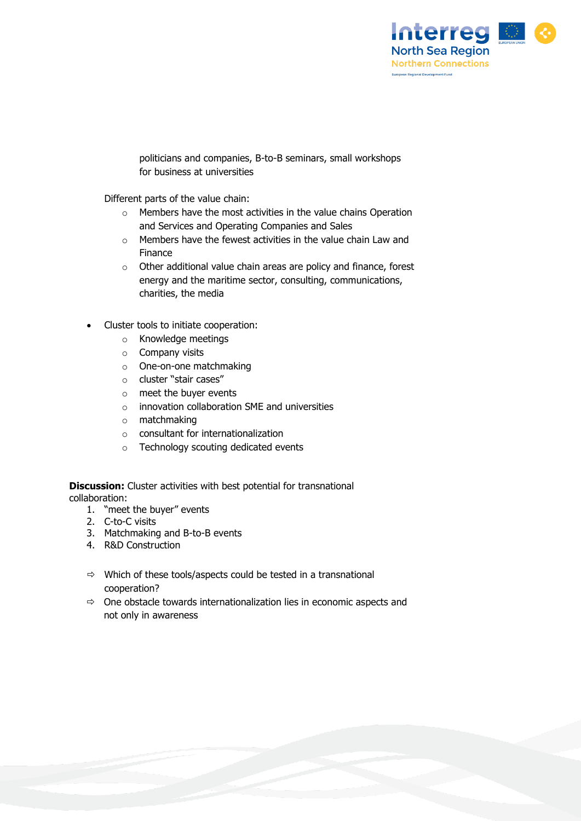

politicians and companies, B-to-B seminars, small workshops for business at universities

Different parts of the value chain:

- o Members have the most activities in the value chains Operation and Services and Operating Companies and Sales
- o Members have the fewest activities in the value chain Law and Finance
- o Other additional value chain areas are policy and finance, forest energy and the maritime sector, consulting, communications, charities, the media
- Cluster tools to initiate cooperation:
	- o Knowledge meetings
	- o Company visits
	- o One-on-one matchmaking
	- o cluster "stair cases"
	- o meet the buyer events
	- o innovation collaboration SME and universities
	- o matchmaking
	- o consultant for internationalization
	- o Technology scouting dedicated events

**Discussion:** Cluster activities with best potential for transnational collaboration:

- 1. "meet the buyer" events
- 2. C-to-C visits
- 3. Matchmaking and B-to-B events
- 4. R&D Construction
- $\Rightarrow$  Which of these tools/aspects could be tested in a transnational cooperation?
- $\Rightarrow$  One obstacle towards internationalization lies in economic aspects and not only in awareness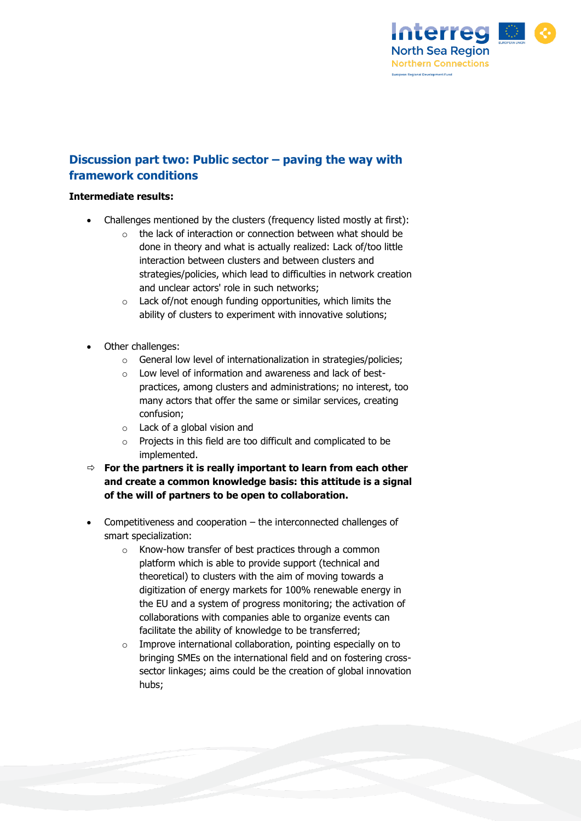

## **Discussion part two: Public sector – paving the way with framework conditions**

#### **Intermediate results:**

- Challenges mentioned by the clusters (frequency listed mostly at first):
	- o the lack of interaction or connection between what should be done in theory and what is actually realized: Lack of/too little interaction between clusters and between clusters and strategies/policies, which lead to difficulties in network creation and unclear actors' role in such networks;
	- o Lack of/not enough funding opportunities, which limits the ability of clusters to experiment with innovative solutions;
- Other challenges:
	- o General low level of internationalization in strategies/policies;
	- o Low level of information and awareness and lack of bestpractices, among clusters and administrations; no interest, too many actors that offer the same or similar services, creating confusion;
	- o Lack of a global vision and
	- o Projects in this field are too difficult and complicated to be implemented.
- **For the partners it is really important to learn from each other and create a common knowledge basis: this attitude is a signal of the will of partners to be open to collaboration.**
- Competitiveness and cooperation the interconnected challenges of smart specialization:
	- o Know-how transfer of best practices through a common platform which is able to provide support (technical and theoretical) to clusters with the aim of moving towards a digitization of energy markets for 100% renewable energy in the EU and a system of progress monitoring; the activation of collaborations with companies able to organize events can facilitate the ability of knowledge to be transferred;
	- o Improve international collaboration, pointing especially on to bringing SMEs on the international field and on fostering crosssector linkages; aims could be the creation of global innovation hubs;